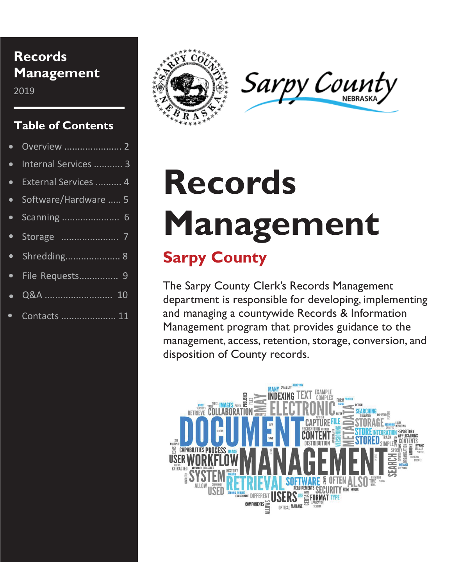### **Records Management**

2019

### **Table of Contents**

|           | • Internal Services  3 |
|-----------|------------------------|
|           | • External Services  4 |
|           | • Software/Hardware  5 |
| $\bullet$ | Scanning  6            |
|           |                        |
|           |                        |
|           | · File Requests 9      |
|           |                        |
|           | • Contacts  11         |





## **Records Management Sarpy County**

The Sarpy County Clerk's Records Management department is responsible for developing, implementing and managing a countywide Records & Information Management program that provides guidance to the management, access, retention, storage, conversion, and disposition of County records.

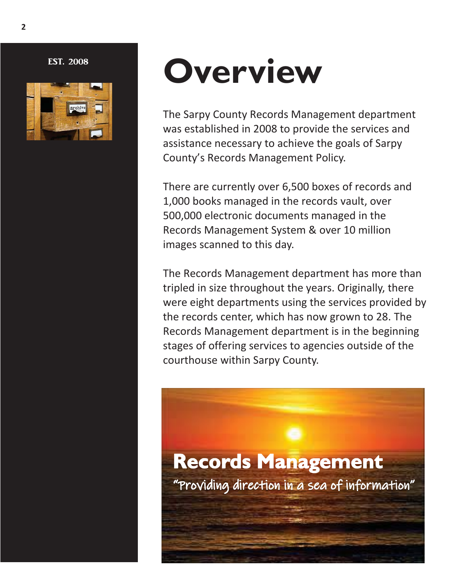EST. 2008



## **Overview**

The Sarpy County Records Management department was established in 2008 to provide the services and assistance necessary to achieve the goals of Sarpy County's Records Management Policy.

There are currently over 6,500 boxes of records and 1,000 books managed in the records vault, over 500,000 electronic documents managed in the Records Management System & over 10 million images scanned to this day.

The Records Management department has more than tripled in size throughout the years. Originally, there were eight departments using the services provided by the records center, which has now grown to 28. The Records Management department is in the beginning stages of offering services to agencies outside of the courthouse within Sarpy County.

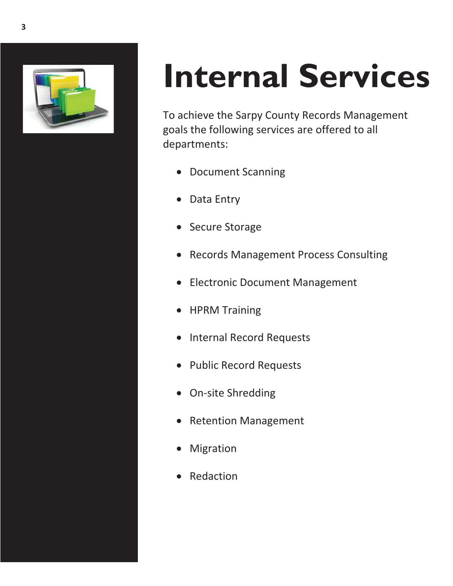

# **Internal Services**

To achieve the Sarpy County Records Management goals the following services are offered to all departments:

- Document Scanning
- Data Entry
- Secure Storage
- Records Management Process Consulting
- Electronic Document Management
- HPRM Training
- Internal Record Requests
- Public Record Requests
- On-site Shredding
- Retention Management
- Migration
- Redaction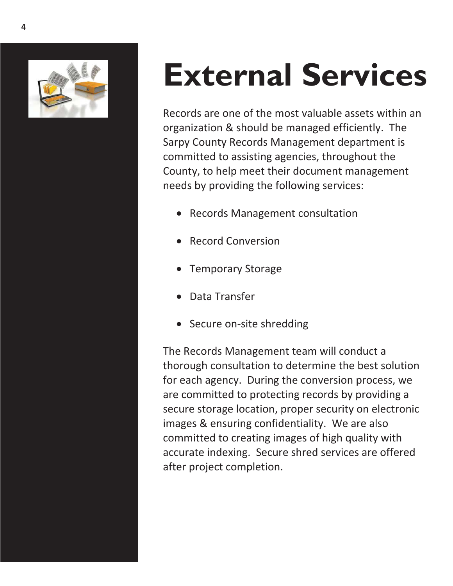

# **External Services**

Records are one of the most valuable assets within an organization & should be managed efficiently. The Sarpy County Records Management department is committed to assisting agencies, throughout the County, to help meet their document management needs by providing the following services:

- Records Management consultation
- Record Conversion
- Temporary Storage
- Data Transfer
- Secure on-site shredding

The Records Management team will conduct a thorough consultation to determine the best solution for each agency. During the conversion process, we are committed to protecting records by providing a secure storage location, proper security on electronic images & ensuring confidentiality. We are also committed to creating images of high quality with accurate indexing. Secure shred services are offered after project completion.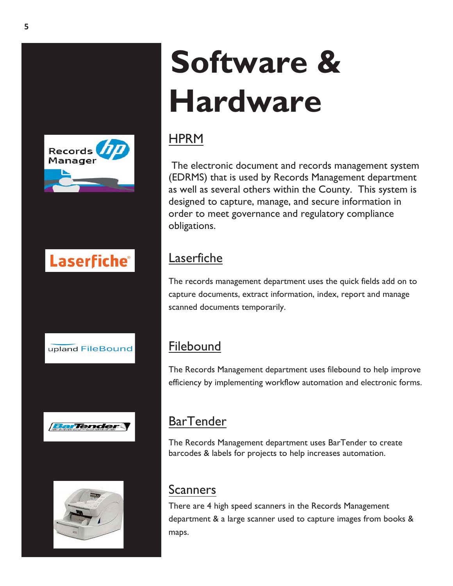

### **Laserfiche®**







# **Software & Hardware**

### **HPRM**

 The electronic document and records management system (EDRMS) that is used by Records Management department as well as several others within the County. This system is designed to capture, manage, and secure information in order to meet governance and regulatory compliance obligations.

### **Laserfiche**

The records management department uses the quick fields add on to capture documents, extract information, index, report and manage scanned documents temporarily.

### **Filebound**

The Records Management department uses filebound to help improve efficiency by implementing workflow automation and electronic forms.

### **BarTender**

The Records Management department uses BarTender to create barcodes & labels for projects to help increases automation.

### Scanners

There are 4 high speed scanners in the Records Management department & a large scanner used to capture images from books & maps.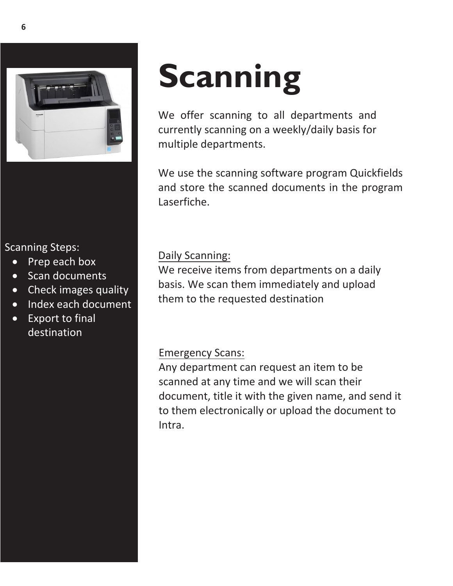

#### Scanning Steps:

- Prep each box
- Scan documents
- Check images quality
- Index each document
- Export to final destination

# **Scanning**

We offer scanning to all departments and currently scanning on a weekly/daily basis for multiple departments.

We use the scanning software program Quickfields and store the scanned documents in the program Laserfiche.

#### Daily Scanning:

We receive items from departments on a daily basis. We scan them immediately and upload them to the requested destination

### Emergency Scans:

Any department can request an item to be scanned at any time and we will scan their document, title it with the given name, and send it to them electronically or upload the document to Intra.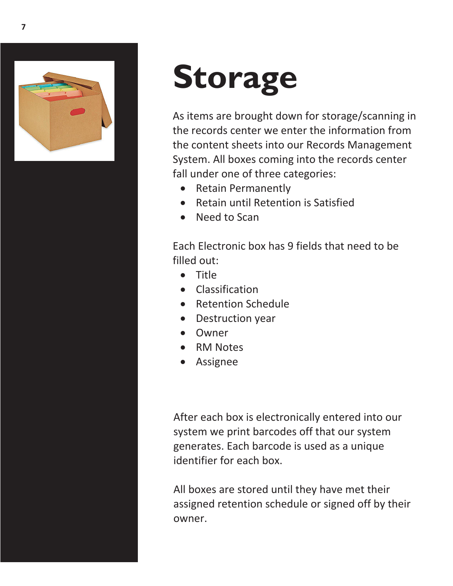

## **Storage**

As items are brought down for storage/scanning in the records center we enter the information from the content sheets into our Records Management System. All boxes coming into the records center fall under one of three categories:

- Retain Permanently
- Retain until Retention is Satisfied
- Need to Scan

Each Electronic box has 9 fields that need to be filled out:

- Title
- Classification
- Retention Schedule
- Destruction year
- Owner
- RM Notes
- Assignee

After each box is electronically entered into our system we print barcodes off that our system generates. Each barcode is used as a unique identifier for each box.

All boxes are stored until they have met their assigned retention schedule or signed off by their owner.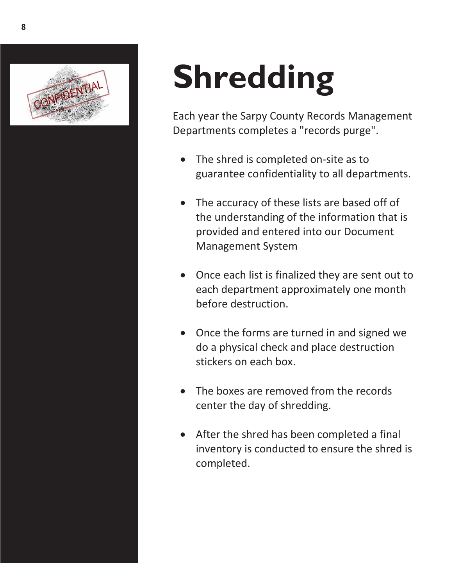

# **Shredding**

Each year the Sarpy County Records Management Departments completes a "records purge".

- The shred is completed on-site as to guarantee confidentiality to all departments.
- The accuracy of these lists are based off of the understanding of the information that is provided and entered into our Document Management System
- Once each list is finalized they are sent out to each department approximately one month before destruction.
- Once the forms are turned in and signed we do a physical check and place destruction stickers on each box.
- The boxes are removed from the records center the day of shredding.
- After the shred has been completed a final inventory is conducted to ensure the shred is completed.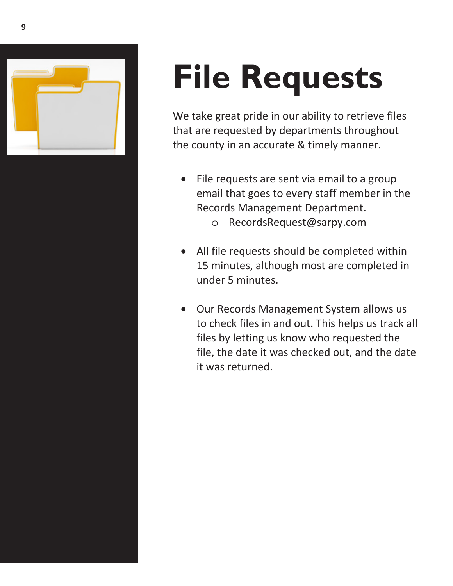

# **File Requests**

We take great pride in our ability to retrieve files that are requested by departments throughout the county in an accurate & timely manner.

- File requests are sent via email to a group email that goes to every staff member in the Records Management Department.
	- o RecordsRequest@sarpy.com
- All file requests should be completed within 15 minutes, although most are completed in under 5 minutes.
- Our Records Management System allows us to check files in and out. This helps us track all files by letting us know who requested the file, the date it was checked out, and the date it was returned.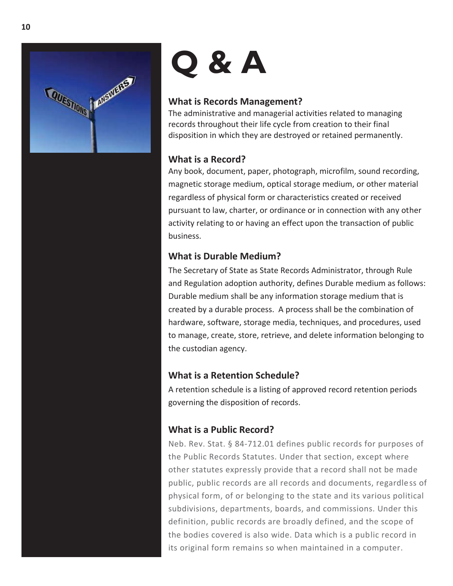

# **Q & A**

#### **What is Records Management?**

The administrative and managerial activities related to managing records throughout their life cycle from creation to their final disposition in which they are destroyed or retained permanently.

#### **What is a Record?**

Any book, document, paper, photograph, microfilm, sound recording, magnetic storage medium, optical storage medium, or other material regardless of physical form or characteristics created or received pursuant to law, charter, or ordinance or in connection with any other activity relating to or having an effect upon the transaction of public business.

#### **What is Durable Medium?**

The Secretary of State as State Records Administrator, through Rule and Regulation adoption authority, defines Durable medium as follows: Durable medium shall be any information storage medium that is created by a durable process. A process shall be the combination of hardware, software, storage media, techniques, and procedures, used to manage, create, store, retrieve, and delete information belonging to the custodian agency.

#### **What is a Retention Schedule?**

A retention schedule is a listing of approved record retention periods governing the disposition of records.

#### **What is a Public Record?**

Neb. Rev. Stat. § 84-712.01 defines public records for purposes of the Public Records Statutes. Under that section, except where other statutes expressly provide that a record shall not be made public, public records are all records and documents, regardless of physical form, of or belonging to the state and its various political subdivisions, departments, boards, and commissions. Under this definition, public records are broadly defined, and the scope of the bodies covered is also wide. Data which is a public record in its original form remains so when maintained in a computer.